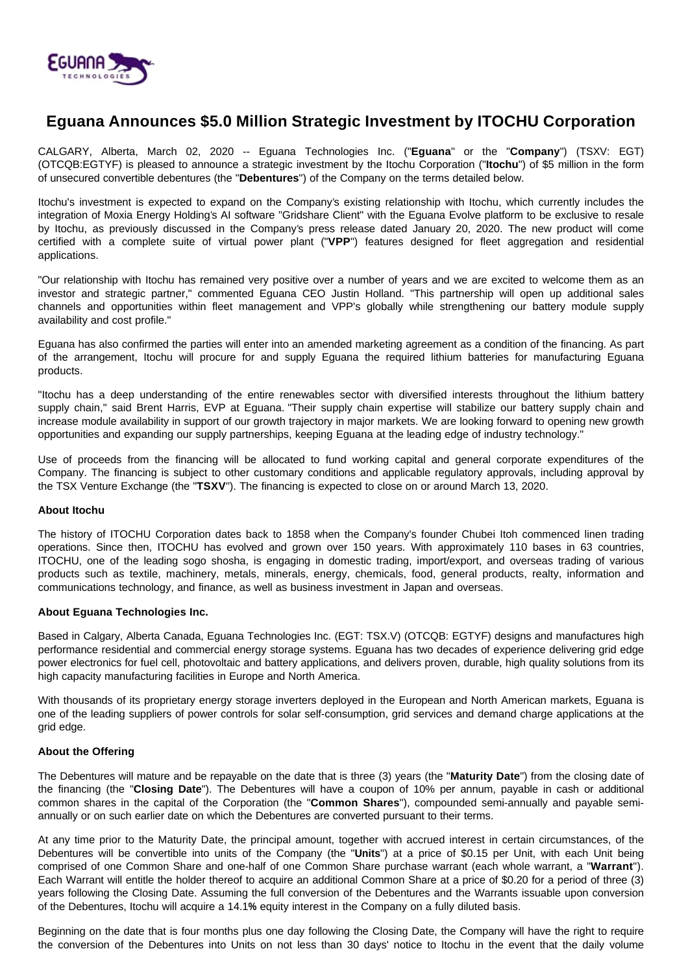

# **Eguana Announces \$5.0 Million Strategic Investment by ITOCHU Corporation**

CALGARY, Alberta, March 02, 2020 -- Eguana Technologies Inc. ("**Eguana**" or the "**Company**") (TSXV: EGT) (OTCQB:EGTYF) is pleased to announce a strategic investment by the Itochu Corporation ("**Itochu**") of \$5 million in the form of unsecured convertible debentures (the "**Debentures**") of the Company on the terms detailed below.

Itochu's investment is expected to expand on the Company's existing relationship with Itochu, which currently includes the integration of Moxia Energy Holding's AI software "Gridshare Client" with the Eguana Evolve platform to be exclusive to resale by Itochu, as previously discussed in the Company's press release dated January 20, 2020. The new product will come certified with a complete suite of virtual power plant ("**VPP**") features designed for fleet aggregation and residential applications.

"Our relationship with Itochu has remained very positive over a number of years and we are excited to welcome them as an investor and strategic partner," commented Eguana CEO Justin Holland. "This partnership will open up additional sales channels and opportunities within fleet management and VPP's globally while strengthening our battery module supply availability and cost profile."

Eguana has also confirmed the parties will enter into an amended marketing agreement as a condition of the financing. As part of the arrangement, Itochu will procure for and supply Eguana the required lithium batteries for manufacturing Eguana products.

"Itochu has a deep understanding of the entire renewables sector with diversified interests throughout the lithium battery supply chain," said Brent Harris, EVP at Eguana. "Their supply chain expertise will stabilize our battery supply chain and increase module availability in support of our growth trajectory in major markets. We are looking forward to opening new growth opportunities and expanding our supply partnerships, keeping Eguana at the leading edge of industry technology."

Use of proceeds from the financing will be allocated to fund working capital and general corporate expenditures of the Company. The financing is subject to other customary conditions and applicable regulatory approvals, including approval by the TSX Venture Exchange (the "**TSXV**"). The financing is expected to close on or around March 13, 2020.

# **About Itochu**

The history of ITOCHU Corporation dates back to 1858 when the Company's founder Chubei Itoh commenced linen trading operations. Since then, ITOCHU has evolved and grown over 150 years. With approximately 110 bases in 63 countries, ITOCHU, one of the leading sogo shosha, is engaging in domestic trading, import/export, and overseas trading of various products such as textile, machinery, metals, minerals, energy, chemicals, food, general products, realty, information and communications technology, and finance, as well as business investment in Japan and overseas.

# **About Eguana Technologies Inc.**

Based in Calgary, Alberta Canada, Eguana Technologies Inc. (EGT: TSX.V) (OTCQB: EGTYF) designs and manufactures high performance residential and commercial energy storage systems. Eguana has two decades of experience delivering grid edge power electronics for fuel cell, photovoltaic and battery applications, and delivers proven, durable, high quality solutions from its high capacity manufacturing facilities in Europe and North America.

With thousands of its proprietary energy storage inverters deployed in the European and North American markets, Eguana is one of the leading suppliers of power controls for solar self-consumption, grid services and demand charge applications at the grid edge.

#### **About the Offering**

The Debentures will mature and be repayable on the date that is three (3) years (the "**Maturity Date**") from the closing date of the financing (the "**Closing Date**"). The Debentures will have a coupon of 10% per annum, payable in cash or additional common shares in the capital of the Corporation (the "**Common Shares**"), compounded semi-annually and payable semiannually or on such earlier date on which the Debentures are converted pursuant to their terms.

At any time prior to the Maturity Date, the principal amount, together with accrued interest in certain circumstances, of the Debentures will be convertible into units of the Company (the "**Units**") at a price of \$0.15 per Unit, with each Unit being comprised of one Common Share and one-half of one Common Share purchase warrant (each whole warrant, a "**Warrant**"). Each Warrant will entitle the holder thereof to acquire an additional Common Share at a price of \$0.20 for a period of three (3) years following the Closing Date. Assuming the full conversion of the Debentures and the Warrants issuable upon conversion of the Debentures, Itochu will acquire a 14.1**%** equity interest in the Company on a fully diluted basis.

Beginning on the date that is four months plus one day following the Closing Date, the Company will have the right to require the conversion of the Debentures into Units on not less than 30 days' notice to Itochu in the event that the daily volume